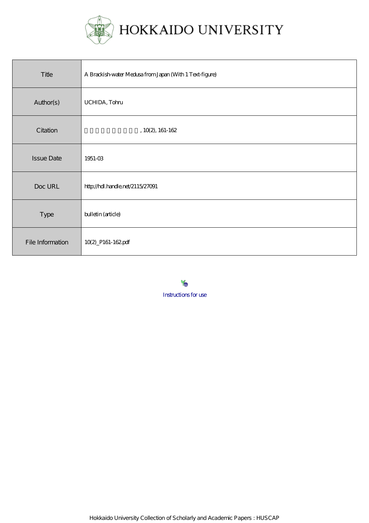

| Title             | A Brackish-water Medusa from Japan (With 1 Text-figure) |
|-------------------|---------------------------------------------------------|
| Author(s)         | UCHIDA, Tohu                                            |
| Citation          | $, 10(2), 161-162$                                      |
| <b>Issue Date</b> | 1951-03                                                 |
| Doc URL           | http://hdl.handle.net/2115/27091                        |
| Type              | bulletin (article)                                      |
| File Information  | 10(2)_P161-162pdf                                       |

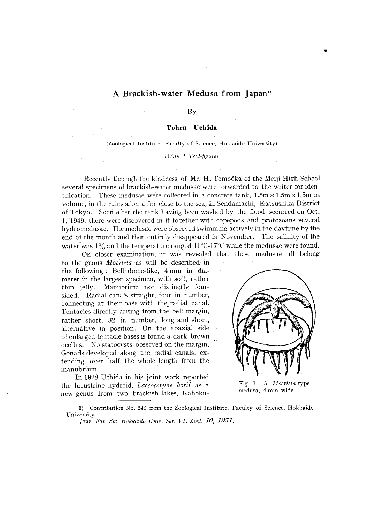## A Brackish-water Medusa from Japan<sup>11</sup>

**By** 

**Tohru Uchida** 

(Zoological Institute, Faculty of Science, Hokkaido University)

*(With* 1 Text~figure)

Recently through the kindness of Mr. H. Tom06ka of the Meiji High School several specimens of brackish-water medusae were forwarded to the writer for identification. These medusae were collected in a concrete tank,  $1.5m \times 1.5m \times 1.5m$  in volume, in the ruins after a fire close to the sea, in Sendamachi, Katsushika District of Tokyo. Soon after the tank having been washed by the flood 0ccurred on Oct. 1, 1949, there were discovered in it together with copepods and protozoans several hydromedusae. The medusae were observed swimming actively in the daytime by the end of the month and then entirely disappeared in November. The salinity of the water was  $1\%$  and the temperature ranged  $11^{\circ}$ C-17<sup>o</sup>C while the medusae were found.

On closer examination, it was revealed that these medusae all belong to the genus *Moerisia* 'as will be described in the following: Bell dome-like, 4 mmin diameter in the largest specimen, with soft, rather thin jelly. Manubrium not distinctly foursided., Radial canals straight, four in number, connecting at their base with the. radial canal. Tentacles directly arising from the bell margin, rather short, 32 in number, long and short, alternative in position. On the abaxial side of enlarged tentacle-bases is found a dark brown ocellus. No statocysts observed on the margin. Gonads developed along the radial canals. extending over half the whole length from the manubrium.

In 1928 Uchida in his joint work reported the lucustrine hydroid, *Laccocoryne horii* as a new genus from two brackish lakes, Kahoku-



Fig, 1. A *Moerisia-type*  medusa, 4 mm wide,

<sup>1)</sup> Contribution No. 249 from the Zoological Institute, Faculty of Science, Hokkaido University.

*Jour. Fac. Sci. Hokkaido Univ. Ser. VI, Zool. 10, 1951.*